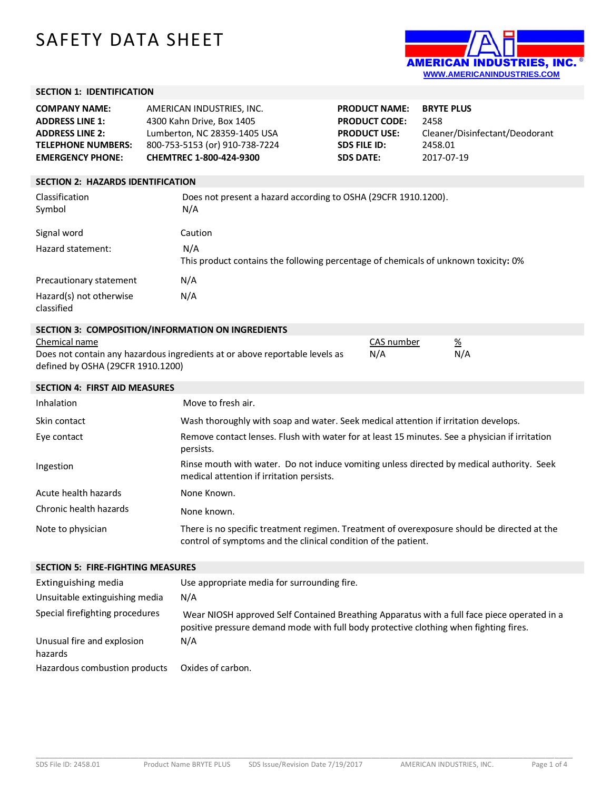# SAFETY DATA SHEET



## **SECTION 1: IDENTIFICATION**

| <b>COMPANY NAME:</b>      | AMERICAN INDUSTRIES, INC.      | <b>PRODUCT NAME:</b> | <b>BRYTE PLUS</b>              |
|---------------------------|--------------------------------|----------------------|--------------------------------|
| <b>ADDRESS LINE 1:</b>    | 4300 Kahn Drive, Box 1405      | <b>PRODUCT CODE:</b> | 2458                           |
| <b>ADDRESS LINE 2:</b>    | Lumberton, NC 28359-1405 USA   | <b>PRODUCT USE:</b>  | Cleaner/Disinfectant/Deodorant |
| <b>TELEPHONE NUMBERS:</b> | 800-753-5153 (or) 910-738-7224 | <b>SDS FILE ID:</b>  | 2458.01                        |
| <b>EMERGENCY PHONE:</b>   | <b>CHEMTREC 1-800-424-9300</b> | <b>SDS DATE:</b>     | 2017-07-19                     |
|                           |                                |                      |                                |

## **SECTION 2: HAZARDS IDENTIFICATION**

| Classification<br>Symbol              | Does not present a hazard according to OSHA (29CFR 1910.1200).<br>N/A                      |
|---------------------------------------|--------------------------------------------------------------------------------------------|
| Signal word                           | Caution                                                                                    |
| Hazard statement:                     | N/A<br>This product contains the following percentage of chemicals of unknown toxicity: 0% |
| Precautionary statement               | N/A                                                                                        |
| Hazard(s) not otherwise<br>classified | N/A                                                                                        |

## **SECTION 3: COMPOSITION/INFORMATION ON INGREDIENTS**

| Chemical name                                                               | CAS number | %   |
|-----------------------------------------------------------------------------|------------|-----|
| Does not contain any hazardous ingredients at or above reportable levels as | N/A        | N/A |
| defined by OSHA (29CFR 1910.1200)                                           |            |     |

| <b>SECTION 4: FIRST AID MEASURES</b> |                                                                                                                                                               |
|--------------------------------------|---------------------------------------------------------------------------------------------------------------------------------------------------------------|
| Inhalation                           | Move to fresh air.                                                                                                                                            |
| Skin contact                         | Wash thoroughly with soap and water. Seek medical attention if irritation develops.                                                                           |
| Eye contact                          | Remove contact lenses. Flush with water for at least 15 minutes. See a physician if irritation<br>persists.                                                   |
| Ingestion                            | Rinse mouth with water. Do not induce vomiting unless directed by medical authority. Seek<br>medical attention if irritation persists.                        |
| Acute health hazards                 | None Known.                                                                                                                                                   |
| Chronic health hazards               | None known.                                                                                                                                                   |
| Note to physician                    | There is no specific treatment regimen. Treatment of overexposure should be directed at the<br>control of symptoms and the clinical condition of the patient. |

#### **SECTION 5: FIRE-FIGHTING MEASURES**

| Extinguishing media<br>Unsuitable extinguishing media | Use appropriate media for surrounding fire.<br>N/A                                                                                                                                   |
|-------------------------------------------------------|--------------------------------------------------------------------------------------------------------------------------------------------------------------------------------------|
| Special firefighting procedures                       | Wear NIOSH approved Self Contained Breathing Apparatus with a full face piece operated in a<br>positive pressure demand mode with full body protective clothing when fighting fires. |
| Unusual fire and explosion<br>hazards                 | N/A                                                                                                                                                                                  |
| Hazardous combustion products                         | Oxides of carbon.                                                                                                                                                                    |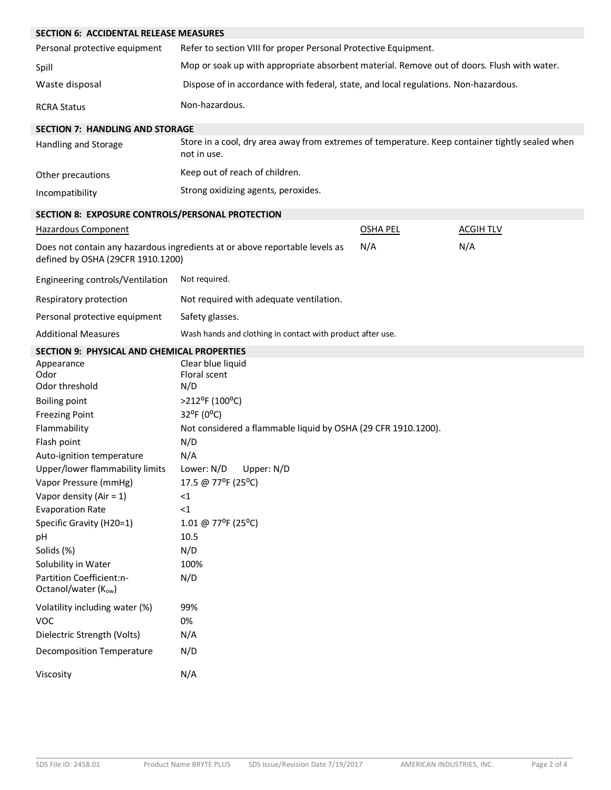| <b>SECTION 6: ACCIDENTAL RELEASE MEASURES</b>    |                                                                                                                |                 |                  |
|--------------------------------------------------|----------------------------------------------------------------------------------------------------------------|-----------------|------------------|
| Personal protective equipment                    | Refer to section VIII for proper Personal Protective Equipment.                                                |                 |                  |
| Spill                                            | Mop or soak up with appropriate absorbent material. Remove out of doors. Flush with water.                     |                 |                  |
| Waste disposal                                   | Dispose of in accordance with federal, state, and local regulations. Non-hazardous.                            |                 |                  |
| <b>RCRA Status</b>                               | Non-hazardous.                                                                                                 |                 |                  |
| <b>SECTION 7: HANDLING AND STORAGE</b>           |                                                                                                                |                 |                  |
| Handling and Storage                             | Store in a cool, dry area away from extremes of temperature. Keep container tightly sealed when<br>not in use. |                 |                  |
| Other precautions                                | Keep out of reach of children.                                                                                 |                 |                  |
| Incompatibility                                  | Strong oxidizing agents, peroxides.                                                                            |                 |                  |
| SECTION 8: EXPOSURE CONTROLS/PERSONAL PROTECTION |                                                                                                                |                 |                  |
| Hazardous Component                              |                                                                                                                | <b>OSHA PEL</b> | <b>ACGIH TLV</b> |
| defined by OSHA (29CFR 1910.1200)                | Does not contain any hazardous ingredients at or above reportable levels as                                    | N/A             | N/A              |
| Engineering controls/Ventilation                 | Not required.                                                                                                  |                 |                  |
| Respiratory protection                           | Not required with adequate ventilation.                                                                        |                 |                  |
| Personal protective equipment                    | Safety glasses.                                                                                                |                 |                  |
| <b>Additional Measures</b>                       | Wash hands and clothing in contact with product after use.                                                     |                 |                  |
| SECTION 9: PHYSICAL AND CHEMICAL PROPERTIES      |                                                                                                                |                 |                  |
| Appearance<br>Odor                               | Clear blue liquid<br>Floral scent                                                                              |                 |                  |
| Odor threshold                                   | N/D                                                                                                            |                 |                  |
| <b>Boiling point</b>                             | >212°F (100°C)                                                                                                 |                 |                  |
| <b>Freezing Point</b>                            | 32°F (0°C)                                                                                                     |                 |                  |
| Flammability                                     | Not considered a flammable liquid by OSHA (29 CFR 1910.1200).                                                  |                 |                  |
| Flash point                                      | N/D                                                                                                            |                 |                  |
| Auto-ignition temperature                        | N/A                                                                                                            |                 |                  |
| Upper/lower flammability limits                  | Lower: N/D<br>Upper: N/D                                                                                       |                 |                  |
| Vapor Pressure (mmHg)                            | 17.5 @ 77°F (25°C)                                                                                             |                 |                  |
| Vapor density (Air = $1$ )                       | <1                                                                                                             |                 |                  |
| <b>Evaporation Rate</b>                          | $\leq 1$                                                                                                       |                 |                  |
| Specific Gravity (H20=1)                         | 1.01 @ 77°F (25°C)                                                                                             |                 |                  |
| pH                                               | 10.5                                                                                                           |                 |                  |
| Solids (%)                                       | N/D                                                                                                            |                 |                  |
| Solubility in Water                              | 100%                                                                                                           |                 |                  |
| Partition Coefficient:n-<br>Octanol/water (Kow)  | N/D                                                                                                            |                 |                  |
| Volatility including water (%)                   | 99%                                                                                                            |                 |                  |
| <b>VOC</b>                                       | 0%                                                                                                             |                 |                  |
| Dielectric Strength (Volts)                      | N/A                                                                                                            |                 |                  |
| <b>Decomposition Temperature</b>                 | N/D                                                                                                            |                 |                  |
| Viscosity                                        | N/A                                                                                                            |                 |                  |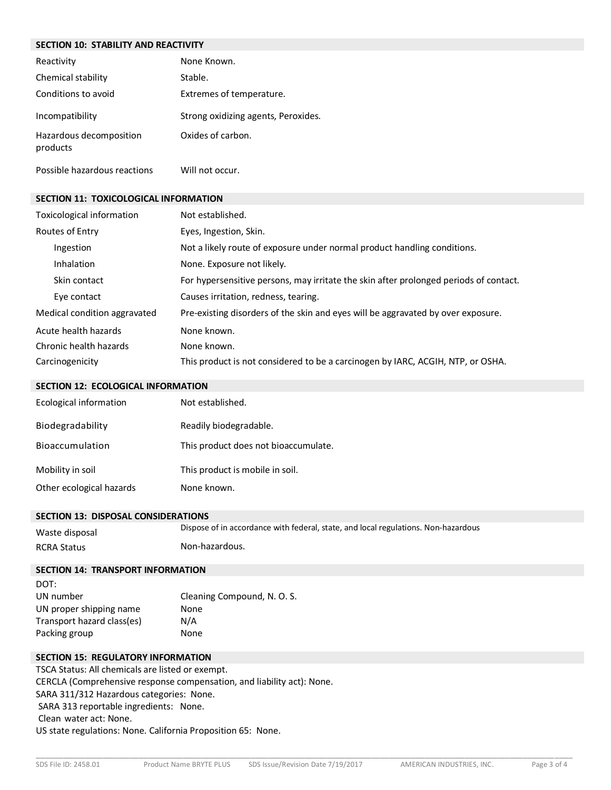| <b>SECTION 10: STABILITY AND REACTIVITY</b>  |                                     |  |
|----------------------------------------------|-------------------------------------|--|
| Reactivity                                   | None Known.                         |  |
| Chemical stability                           | Stable.                             |  |
| Conditions to avoid                          | Extremes of temperature.            |  |
| Incompatibility                              | Strong oxidizing agents, Peroxides. |  |
| Hazardous decomposition<br>products          | Oxides of carbon.                   |  |
| Possible hazardous reactions                 | Will not occur.                     |  |
| <b>SECTION 11: TOXICOLOGICAL INFORMATION</b> |                                     |  |
| Tovicological information                    | Not octablished                     |  |

| Toxicological information    | Not established.                                                                      |
|------------------------------|---------------------------------------------------------------------------------------|
| Routes of Entry              | Eyes, Ingestion, Skin.                                                                |
| Ingestion                    | Not a likely route of exposure under normal product handling conditions.              |
| <b>Inhalation</b>            | None. Exposure not likely.                                                            |
| Skin contact                 | For hypersensitive persons, may irritate the skin after prolonged periods of contact. |
| Eye contact                  | Causes irritation, redness, tearing.                                                  |
| Medical condition aggravated | Pre-existing disorders of the skin and eyes will be aggravated by over exposure.      |
| Acute health hazards         | None known.                                                                           |
| Chronic health hazards       | None known.                                                                           |
| Carcinogenicity              | This product is not considered to be a carcinogen by IARC, ACGIH, NTP, or OSHA.       |
|                              |                                                                                       |

|  | SECTION 12: ECOLOGICAL INFORMATION |
|--|------------------------------------|
|  |                                    |

| Ecological information   | Not established.                     |
|--------------------------|--------------------------------------|
| Biodegradability         | Readily biodegradable.               |
| Bioaccumulation          | This product does not bioaccumulate. |
| Mobility in soil         | This product is mobile in soil.      |
| Other ecological hazards | None known.                          |

# **SECTION 13: DISPOSAL CONSIDERATIONS**

| Waste disposal     | Dispose of in accordance with federal, state, and local regulations. Non-hazardous |
|--------------------|------------------------------------------------------------------------------------|
| <b>RCRA Status</b> | Non-hazardous.                                                                     |

# **SECTION 14: TRANSPORT INFORMATION**

| DOT:                       |                             |
|----------------------------|-----------------------------|
| UN number                  | Cleaning Compound, N. O. S. |
| UN proper shipping name    | None                        |
| Transport hazard class(es) | N/A                         |
| Packing group              | None                        |

# **SECTION 15: REGULATORY INFORMATION**

TSCA Status: All chemicals are listed or exempt. CERCLA (Comprehensive response compensation, and liability act): None. SARA 311/312 Hazardous categories: None. SARA 313 reportable ingredients: None. Clean water act: None. US state regulations: None. California Proposition 65: None.